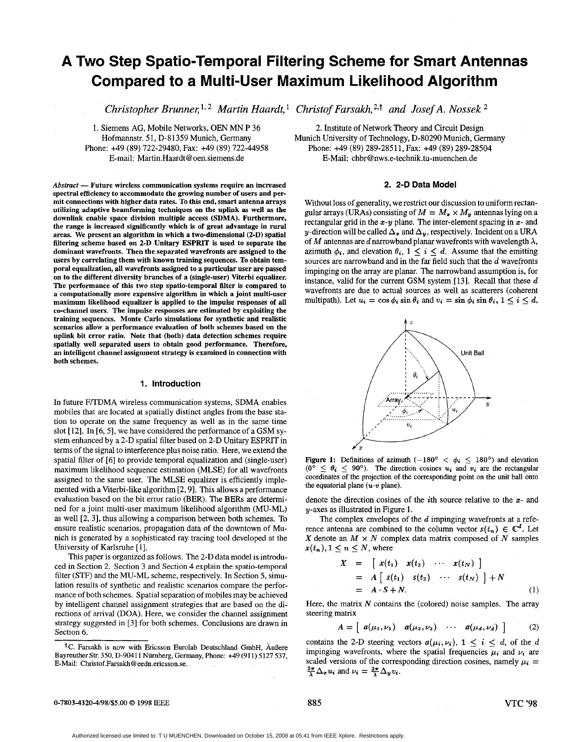# **A Two Step Spatio-Temporal Filtering Scheme for Smart Antennas Compared to a Multi-User Maximum Likelihood Algorithm**

 $\emph{Christopher Brunner, 1, 2 Martin Haardt, 1 Christof Farsakh, 2,1 and Josef A. Nossek}$ 

1. Siemens AG, Mobile Networks, OEN MN **P** 36 Hofmannstr. 51, D-81359 Munich, Germany Phone: +49 (89) 722-29480, Fax: +49 (89) 722-44958 E-mail: Martin.Haardt [@oen.siemens.de](mailto:oen.siemens.de)

 $Abstract$  - Future wireless communication systems require an increased spectral efficiency to accommodate the growing number of users and permit connections with higher data rates. To this end, smart antenna arrays utilizing adaptive beamforming techniques on the uplink **as** well **as** the downlink enable space division multiple access (SDMA). Furthermore, the range is increased significantly which is of great advantage in rural areas. We present an algorithm in which a two-dimensional (2-D) spatial filtering scheme based **on** 2-D Unitary ESPRIT is used to separate the dominant wavefronts. Then the separated wavefronts are assigned to the users by correlating them with known training sequences. To obtain temporal equalization, all wavefronts assigned to a particular user are passed on to the different diversity branches of a (single-user) Viterbi equalizer. The performance of this two step spatio-temporal filter is compared to a computationally more expensive algorithm in which a joint multi-user maximum likelihood equalizer is applied to the impulse responses of all co-channel users. The impulse responses are estimated by exploiting the training sequences. Monte Carlo simulations for synthetic and realistic scenarios allow a performance evaluation of both schemes based on the uplink bit error ratio. Note that (both) data detection schemes require spatially well separated users to obtain good performance. Therefore, an intelligent channel assignment strategy is examined in connection with both schemes.

#### **1. Introduction**

In future F/TDMA wireless communication systems, SDMA enables mobiles that are located at spatially distinct angles from the base station to operate on the same frequency as well as in the same time slot [12]. In [6, 5], we have considered the performance of a GSM system enhanced by a 2-D spatial filter based on 2-D Unitary ESPRIT in terms of the signal to interference plus noise ratio. Here, we extend the spatial filter of [6] to provide temporal equalization and (single-user) maximum likelihood sequence estimation (MLSE) for all wavefronts assigned to the same user. The MLSE equalizer is efficiently implemented with a Viterbi-like algorithm [2,9]. This allows a performance evaluation based on the bit error ratio (BER). The BERs are determined for a joint multi-user maximum likelihood algorithm (MU-ML) as well [2, 31, thus allowing a comparison between both schemes. To ensure realistic scenarios, propagation data of the downtown of Munich is generated by a sophisticated ray tracing tool developed at the University of Karlsruhe [ 11.

This paper is organized as follows. The 2-D data model is introduced in Section 2. Section 3 and Section **4** explain the spatio-temporal filter **(STF)** and the MU-ML scheme, respectively. In Section 5, simulation results of synthetic and realistic scenarios compare the performance of both schemes. Spatial separation of mobiles may be achieved by intelligent channel assignment strategies that are based on the directions of arrival (DOA). Here, we consider the channel assignment strategy suggested in [3] for both schemes. Conclusions are drawn in Section 6.

2. Institute of Network Theory and Circuit Design Munich University of Technology, D-80290 Munich, Germany Phone: +49 (89) 289-28511, Fax: +49 (89) 289-28504 E-Mail: **[chbrG3nws.e-technik.tu-muenchen.de](http://chbrG3nws.e-technik.tu-muenchen.de)** 

# **2. 2-D Data Model**

Without loss of generality, we restrict our discussion to uniform rectangular arrays (URAs) consisting of  $M = M_x \times M_y$  antennas lying on a rectangular grid in the  $x-y$  plane. The inter-element spacing in  $x-$  and y-direction will be called  $\Delta_x$  and  $\Delta_y$ , respectively. Incident on a URA of *M* antennas are *d* narrowband planar wavefronts with wavelength  $\lambda$ , azimuth  $\phi_i$ , and elevation  $\theta_i$ ,  $1 \leq i \leq d$ . Assume that the emitting sources are narrowband and in the far field such that the *d* wavefronts impinging on the array are planar. The narrowband assumption is, for instance, valid for the current GSM system [13]. Recall that these d wavefronts are due to actual sources as well as scatterers (coherent multipath). Let  $u_i = \cos \phi_i \sin \theta_i$  and  $v_i = \sin \phi_i \sin \theta_i$ ,  $1 \leq i \leq d$ ,



Figure 1: Definitions of azimuth  $(-180^{\circ} < \phi_i \le 180^{\circ})$  and elevation  $\leq \theta_i$  < 90°). The direction cosines  $u_i$  and  $v_i$  are the rectangular coordinates of the projection of the corresponding point on the unit ball onto the equatorial plane *(U-v* plane).

denote the direction cosines of the *i*th source relative to the  $x$ - and  $y$ -axes as illustrated in Figure 1.

The complex envelopes of the  $d$  impinging wavefronts at a reference antenna are combined to the column vector  $s(t_n) \in \mathbb{C}^d$ . Let *X* denote an  $M \times N$  complex data matrix composed of *N* samples  $x(t_n), 1 \leq n \leq N$ , where

$$
X = \begin{bmatrix} x(t_1) & x(t_2) & \cdots & x(t_N) \end{bmatrix}
$$
  
=  $A \begin{bmatrix} s(t_1) & s(t_2) & \cdots & s(t_N) \end{bmatrix} + N$   
=  $A \cdot S + N.$  (1)

Here, the matrix  $N$  contains the (colored) noise samples. The array steering matrix

$$
A = \left[ a(\mu_1, \nu_1) \quad a(\mu_2, \nu_2) \quad \cdots \quad a(\mu_d, \nu_d) \right] \quad (2)
$$

contains the 2-D steering vectors  $a(\mu_i, \nu_i)$ ,  $1 \leq i \leq d$ , of the d impinging wavefronts, where the spatial frequencies  $\mu_i$  and  $\nu_i$  are scaled versions of the corresponding direction cosines, namely  $\mu_i = \frac{2\pi}{\lambda} \Delta_z u_i$  and  $\nu_i = \frac{2\pi}{\lambda} \Delta_y v_i$ .

#### 0-7803-4320-4/98/\$5.00 *0* 1998 IEEE *885* **VTC '98**

<sup>&</sup>lt;sup>†</sup>C. Farsakh is now with Ericsson Eurolab Deutschland GmbH, Äußere Bayreuther **Se.** 350, D-90411 Nurnberg, Germany, Phone: 49 (91 1) 5127 537, E-Mail: **Chnstof.Farsakh@eedn.encsson.se.**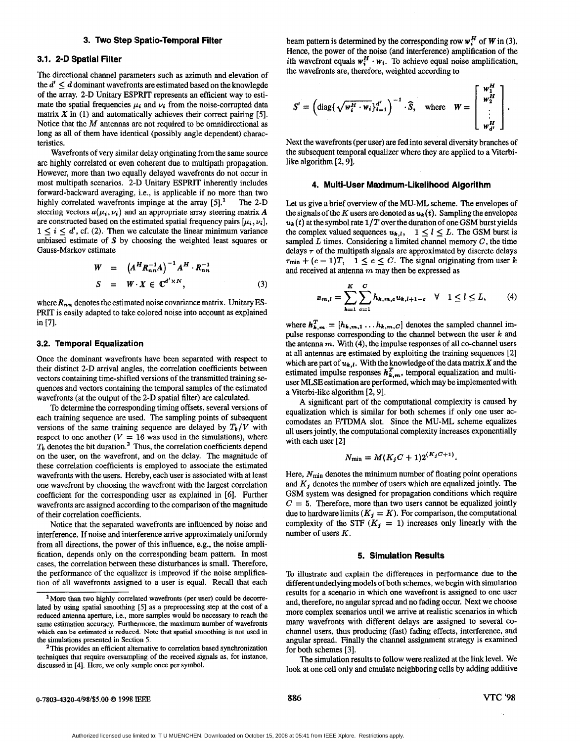#### **3. Two Step Spatio-Temporal Filter**

# **3.1. 2-D Spatial Filter**

The directional channel parameters such as azimuth and elevation of the  $d' < d$  dominant wavefronts are estimated based on the knowlegde of the array. **2-D** Unitary ESPRIT represents an efficient way to estimate the spatial frequencies  $\mu_i$  and  $\nu_i$  from the noise-corrupted data matrix *X* in (1) and automatically achieves their correct pairing *[5].*  Notice that the  $M$  antennas are not required to be omnidirectional as long as all of them have identical (possibly angle dependent) characteristics.

Wavefronts of very similar delay originating from the same source are highly correlated or even coherent due to multipath propagation. However, more than two equally delayed wavefronts do not occur in most multipath scenarios. **2-D** Unitary ESPRIT inherently includes forward-backward averaging, i.e., is applicable if no more than two highly correlated wavefronts impinge at the array **[Sj.'** The **2-D**  steering vectors  $a(\mu_i, \nu_i)$  and an appropriate array steering matrix A are constructed based on the estimated spatial frequency pairs  $[\mu_i, \nu_i]$ ,  $1 \leq i \leq d'$ , cf. (2). Then we calculate the linear minimum variance unbiased estimate of **S** by choosing the weighted least squares or Gauss-Markov estimate

$$
W = (A^H R_{nn}^{-1} A)^{-1} A^H \cdot R_{nn}^{-1}
$$
  
\n
$$
S = W \cdot X \in \mathbb{C}^{d' \times N},
$$
\n(3)

where  $R_{nn}$  denotes the estimated noise covariance matrix. Unitary ES-PRIT is easily adapted to take colored noise into account as explained in **[7].** 

#### **3.2. Temporal Equalization**

Once the dominant wavefronts have been separated with respect to their distinct **2-D** arrival angles, the correlation coefficients between vectors containing time-shifted versions of the transmitted training sequences and vectors containing the temporal samples of the estimated wavefronts (at the output of the **2-D** spatial filter) are calculated.

To determine the corresponding timing offsets, several versions of each training sequence are used. The sampling points of subsequent versions of the same training sequence are delayed by  $T_b/V$  with respect to one another ( $V = 16$  was used in the simulations), where  $T<sub>b</sub>$  denotes the bit duration.<sup>2</sup> Thus, the correlation coefficients depend on the user, on the wavefront, and on the delay. The magnitude of these correlation coefficients is employed to associate the estimated wavefronts with the users. Hereby, each user is associated with at least one wavefront by choosing the wavefront with the largest correlation coefficient for the corresponiding user as explained in *[6].* Further wavefronts are assigned according to the comparison of the magnitude of their correlation coefficienis.

Notice that the separated wavefronts are influenced by noise and interference. If noise and interference arrive approximately uniformly from all directions, the power of this influence, e.g., the noise amplification, depends only on the corresponding beam pattern. In most cases, the correlation between these disturbances is small. Therefore, the performance of the equalizer is improved if the noise amplification of all wavefronts assigned to a user is equal. Recall that each beam pattern is determined by the corresponding row  $w_i^H$  of W in (3). Hence, the power of the noise (and interference) amplification of the ith wavefront equals  $w_i^H \cdot w_i$ . To achieve equal noise amplification, the wavefronts are, therefore, weighted according to

$$
S' = \left(\text{diag}\{\sqrt{w_i^H \cdot w_i}\}_{i=1}^{d'}\right)^{-1} \cdot \widehat{S}, \text{ where } W = \begin{bmatrix} w_1^H \\ w_2^H \\ \vdots \\ w_d^H \end{bmatrix}.
$$

Next the wavefronts (per user) are fed into several diversity branches of the subsequent temporal equalizer where they are applied to a Viterbilike algorithm **[2,9].** 

## **4. Multi-User Maxiinum-Likelihood Algorithm**

Let us give a brief overview of the MU-ML scheme. The envelopes of the signals of the *K* users are denoted as  $u_k(t)$ . Sampling the envelopes  $u_k(t)$  at the symbol rate  $1/T$  over the duration of one GSM burst yields the complex valued sequences  $u_{k,l}$ ,  $1 \leq l \leq L$ . The GSM burst is sampled  $L$  times. Considering a limited channel memory  $C$ , the time delays  $\tau$  of the multipath signals are approximated by discrete delays  $\tau_{\min} + (c - 1)T$ ,  $1 \leq c \leq C$ . The signal originating from user *k* and received at antenna *m* may then be expressed as

$$
x_{m,l} = \sum_{k=1}^{K} \sum_{c=1}^{C} h_{k,m,c} u_{k,l+1-c} \quad \forall \quad 1 \le l \le L,
$$
 (4)

where  $h_{k,m}^T = [h_{k,m,1} \dots h_{k,m,C}]$  denotes the sampled channel impulse response corresponding to the channel between the user *k* and the antenna *m.* With **(4),** the impulse responses of all co-channel users at all antennas are estimated by exploiting the training sequences **[2]**  which are part of  $u_{k,l}$ . With the knowledge of the data matrix X and the estimated impulse responses  $h_{k,m}^T$ , temporal equalization and multiuser MLSE estimation are perfiormed, which may be implemented with a Viterbi-like algorithm **[2,9].** 

A significant part of the computational complexity is caused by equalization which is similar for both schemes if only one user accomodates an F/TDMA slot. Since the MU-ML scheme equalizes all users jointly, the computational complexity increases exponentially with each user **[2]** 

$$
N_{\min} = M(K_j C + 1)2^{(K_j C + 1)}.
$$

Here,  $N_{\text{min}}$  denotes the minimum number of floating point operations and *Kj* denotes the number of users which are equalized jointly. The GSM system was designed for propagation conditions which require  $C = 5$ . Therefore, more than two users cannot be equalized jointly due to hardware limits  $(K_j = K)$ . For comparison, the computational complexity of the STF  $(K_i = 1)$  increases only linearly with the number of users K.

## **5. Simulation Results**

To illustrate and explain the differences in performance due to the different underlying models of both schemes, we begin with simulation results for a scenario in which one wavefront is assigned to one user and, therefore, no angular spread and no fading occur. Next we choose more complex scenarios until we arrive at realistic scenarios in which many wavefronts with different delays are assigned to several cochannel users, thus producing (fast) fading effects, interference, and angular spread. Finally the channel assignment strategy is examined for both schemes **[3].** 

The simulation results to follow were realized at the link level. We look at one cell only and emulate neighboring cells by adding additive

 $1$ More than two highly correlated wavefronts (per user) could be decorrelated by using spatial smoothing [5] as a preprocessing step at the cost of a reduced antenna aperture, i.e., more samples would be necessary to reach the same estimation accuracy. Furthermore, the maximum number of wavefronts the simulations presented in Section 5. **which can be estimated is reduced Note that spatial** smoothing **is** not used in

<sup>&</sup>lt;sup>2</sup>This provides an efficient alternative to correlation based synchronization techniques that require oversampling of the received signals **as,** for instance, discussed in [4]. Here, we only sample once per symbol.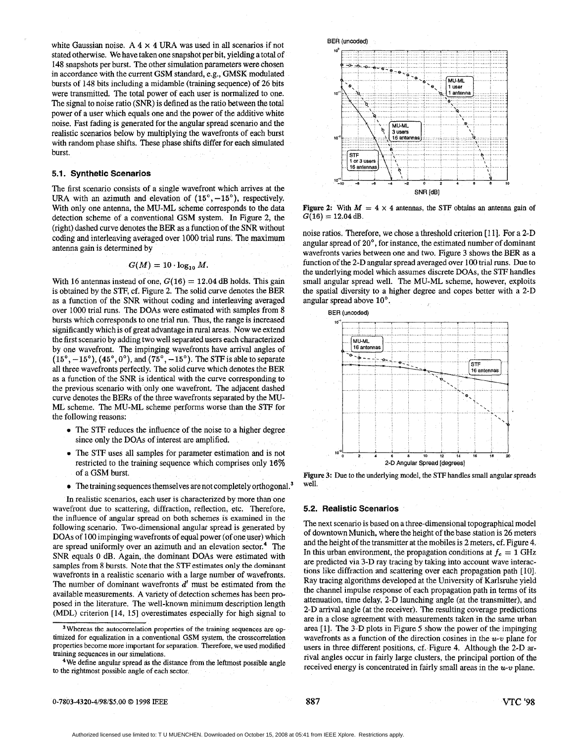white Gaussian noise.  $A \times 4$  URA was used in all scenarios if not stated otherwise. We have taken one snapshot per bit, yielding a total of 148 snapshots per burst. The other simulation parameters were chosen in accordance with the current GSM standard, e.g., GMSK modulated bursts of 148 bits including a midamble (training sequence) of **26** bits were transmitted. The total power of each user is normalized to one. The signal to noise ratio (SNR) is defined as the ratio between the total power of a user which equals one and the power of the additive white noise. Fast fading is generated for the angular spread scenario and the realistic scenarios below by multiplying the wavefronts of each burst with random phase shifts. These phase shifts differ for each simulated burst.

#### **5.1. Synthetic Scenarios**

The first scenario consists of a single wavefront which arrives at the URA with an azimuth and elevation of  $(15^{\circ}, -15^{\circ})$ , respectively. With only one antenna, the MU-ML scheme corresponds to the data detection scheme of a conventional GSM system. In Figure **2,** the (right) dashed curve denotes the **BER** as a function of the SNR without coding and interleaving averaged over 1000 trial runs. The maximum antenna gain is determined by

$$
G(M) = 10 \cdot \log_{10} M.
$$

With 16 antennas instead of one,  $G(16) = 12.04$  dB holds. This gain is obtained by the STF, cf. Figure **2.** The solid curve denotes the BER **as** a function of the SNR without coding and interleaving averaged over 1000 trial runs. The **DOAs** were estimated with samples from 8 bursts which corresponds to one **trial** run. Thus, the range is increased significantly which is of great advantage in rural areas. Now we extend the first scenario by adding two well separated users each characterized by one wavefront. The impinging wavefronts have arrival angles of  $(15^{\circ}, -15^{\circ})$ ,  $(45^{\circ}, 0^{\circ})$ , and  $(75^{\circ}, -15^{\circ})$ . The STF is able to separate all three wavefronts perfectly. The solid curve which denotes the BER as a function of the SNR is identical with the curve corresponding to the previous scenario with only one wavefront. The adjacent dashed curve denotes the **BERs** of the three wavefronts separated by the MU-ML scheme. The MU-ML scheme performs worse than the **STF** for the following reasons:

- **e** The STF reduces the influence of the noise to a higher degree since only the **DOAs** of interest are amplified.
- The STF uses all samples for parameter estimation and is not restricted to the training sequence which comprises only **16%**  of a GSM burst.
- $\bullet$  The training sequences themselves are not completely orthogonal.<sup>3</sup> well.

In realistic scenarios, each user is characterized by more than one wavefront due to scattering, diffraction, reflection, etc. Therefore, the influence of angular spread on both schemes is examined in the following scenario. Two-dimensional angular spread is generated by **DOAs** of 100 impinging wavefronts of equal power (of one user) which are spread uniformly over an azimuth and an elevation sector. $4$  The SNR equals **0 dB.** Again, the dominant **DOAs** were estimated with samples from **8** bursts. Note that the **STF** estimates **only** the **dominant**  wavefronts in a realistic scenario with a large number of wavefronts. The number of dominant wavefronts *d'* must be estimated from the available measurements. **A** variety of detection schemes has been proposed in the literature. The well-known minimum description length (MDL) criterion [ **14,** 151 overestimates especially for high signal to

4We define angular spread **as** the distance from the leftmost possible angle to the nghtmost possible angle **of** each sector.



Figure 2: With  $M = 4 \times 4$  antennas, the STF obtains an antenna gain of  $G(16) = 12.04$  dB.

noise ratios. Therefore, we chose a threshold criterion [11]. For a 2-D angular spread of 20°, for instance, the estimated number of dominant wavefronts varies between one and two. Figure 3 shows the BER as a function of the 2-D angular spread averaged over 100 trial runs. Due to the underlying model which assumes discrete DOAs, the STF handles small angular spread well. The MU-ML scheme, however, exploits the spatial diversity to a higher degree and copes better with a 2-D



Figure 3: Due to the underlying model, the STF handles small angular spreads

#### **5.2. Realistic Scenarios**

The next scenario is based on a three-dimensional topographical model of downtown Munich, where the height of the base station is 26 meters and the height of the transmitter at the mobiles is *2* meters, cf. Figure 4. In this urban environment, the propagation conditions at  $f_c = 1$  GHz are predicted via **3-D** ray tracing by taking into account wave interactions like diffraction and scattering over each propagation path [IO]. Ray tracing algorithms developed at the University of Karlsruhe yield the channel impulse response of each propagation path in terms of its attenuation, time delay, **2-D** launching angle (at the transmitter), and **2-D** arrival angle (at the receiver). The resulting coverage predictions are in a close agreement with measurements taken in the same urban area [I]. **The 3-D** plots in Figure *5* show the power of the impinging wavefronts as a function of the direction cosines in the *U-v* plane for users in three different positions, cf. Figure 4. Although the 2-D arrival angles occur in fairly large clusters, the principal portion of the received energy is concentrated in fairly small areas in the *U-v* plane.

**0-7803-4320-4/98/\$5.00** *0* **1998** IEEE **887 VTC '98** 

<sup>&</sup>lt;sup>3</sup> Whereas the autocorrelation properties of the training sequences are optimized for equalization in a conventional GSM system, the crosscorrelation properties become more important **for** separation. Therefore, we used modified training sequences in our simulations.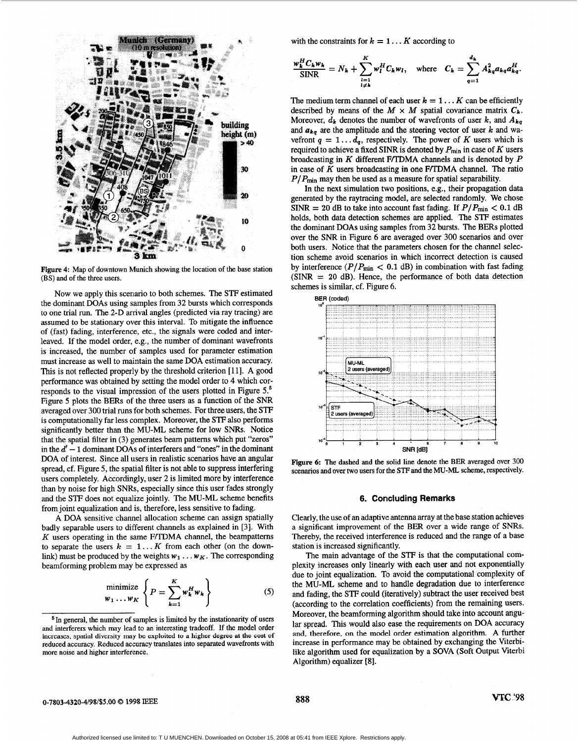

Figure **4:** Map of downtown Munich showing the location of the base station **(BS)** and of the three users.

Now we apply this scenario to both schemes. The **STF** estimated the dominant DOAs using samples from 32 bursts which corresponds to one trial run. The 2-D arrival angles (predicted via ray tracing) are assumed to be stationary over this interval. To mitigate the influence of (fast) fading, interference, etc., the signals were coded and interleaved. If the model order, e.g., the number of dominant wavefronts is increased, the number of samples used for parameter estimation must increase as well to maintain the same DOA estimation accuracy. This is not reflected properly by the threshold criterion [11]. A good performance was obtained by setting the model order to **4** which corresponds to the visual impression of the users plotted in Figure *5.5*  Figure 5 plots the BERs of the three users as a function of the SNR averaged over 300 trial runs for both schemes. For threeusers, the STF is computationally far less complex. Moreover, the **STF** also performs significantly better than the MU-ML scheme for low SNRs. Notice that the spatial filter in (3) generates beam patterns which put "zeros" in the  $d' - 1$  dominant DOAs of interferers and "ones" in the dominant DOA of interest. Since all users in realistic scenarios have an angular spread, cf. Figure 5, the spatial filter is not able to suppress interfering users completely. Accordingly, user 2 is limited more by interference than by noise for high SNRs, especially since this user fades strongly and the **STF** does not equalize jointly. The MU-ML scheme benefits from joint equalization and is, therefore, less sensitive to fading.

A DOA sensitive channel allocation scheme can assign spatially badly separable users to different channels as explained in [3]. With *K* users operating in the same F/TDMA channel, the beampatterns to separate the users  $k = 1... K$  from each other (on the downlink) must be produced by the weights  $w_1 \ldots w_K$ . The corresponding beamforming problem may be expressed as

$$
\begin{aligned}\n\text{minimize} \quad & \left\{ P = \sum_{k=1}^{K} w_k^H w_k \right\} \quad \text{(5)}\n\end{aligned}
$$

with the constraints for  $k = 1... K$  according to

$$
\frac{w_k^H C_k w_k}{\text{SINR}} = N_k + \sum_{\substack{l=1 \ l \neq k}}^K w_l^H C_k w_l, \quad \text{where} \quad C_k = \sum_{q=1}^{d_k} A_{kq}^2 a_{kq} a_{kq}^H.
$$

The medium term channel of each user  $k = 1...K$  can be efficiently described by means of the  $M \times M$  spatial covariance matrix  $C_k$ . Moreover,  $d_k$  denotes the number of wavefronts of user k, and  $A_{kq}$ and  $a_{kq}$  are the amplitude and the steering vector of user  $k$  and wavefront  $q = 1 \dots d_q$ , respectively. The power of K users which is required to achieve a fixed SINR is denoted by  $P_{\text{min}}$  in case of K users broadcasting in  $K$  different F/TDMA channels and is denoted by  $P$ in case of  $\overline{K}$  users broadcasting in one F/TDMA channel. The ratio  $P/P_{\text{min}}$  may then be used as a measure for spatial separability.

In the next simulation two positions, e.g., their propagation data generated by the raytracing model, are selected randomly. We chose SINR = 20 dB to take into account fast fading. If  $P/P_{\text{min}} < 0.1$  dB holds, both data detection schemes are applied. The STF estimates the dominant DOAs using samples from 32 bursts. The BERs plotted over the *SNR* in Figure 6 are averaged over 300 scenarios and over both users. Notice that the parameters chosen for the channel selection scheme avoid scenarios in which incorrect detection is caused by interference  $(P/P_{min} < 0.1$  dB) in combination with fast fading  $(SINR = 20$  dB). Hence, the performance of both data detection schemes is similar, cf. Figure 6.



Figure *6:* The dashed and the solid line denote the **BER** averaged over **300**  scenarios and over two users for the **STF** and the MU-ML scheme, respectively.

## **6. Coricluding Remarks**

Clearly, the use of an adaptive antenna array at the base station achieves a significant improvement of the BER over a wide range of SNRs. Thereby, the received interference is reduced and the range of a base station is increased significantly.

The main advantage of the **STF** is that the computational complexity increases only linearly with each user and not exponentially due to joint equalization. **To** avoid the computational complexity of the MU-ML scheme and to handle degradation due to interference and fading, the STF could (iteratively) subtract the user received best (according to the correlation coefficients) from the remaining users. Moreover, the beamforming algorithm should take into account angular spread. This would also ease the requirements on DOA accuracy and, therefore, **on** the model order estimation algorithm. A further increase in performance may be obtained by exchanging the Viterbilike algorithm used for equalization by a SOVA (Soft Output Viterbi Algorithm) equalizer **[8].** 

# **0-7803-4320-4/98/\$5.00** *0* **1998 IEEE 888 VTC** *'98*

 $5$ In general, the number of samples is limited by the instationarity of users and interferers which may lead to an interesting tradeoff. If the model order increases, spatid diversity may be exploited to a **higher** degree **at the cost of**  reduced accuracy. Reduced accuracy translates into separated wavefronts with more noise and higher interferience.